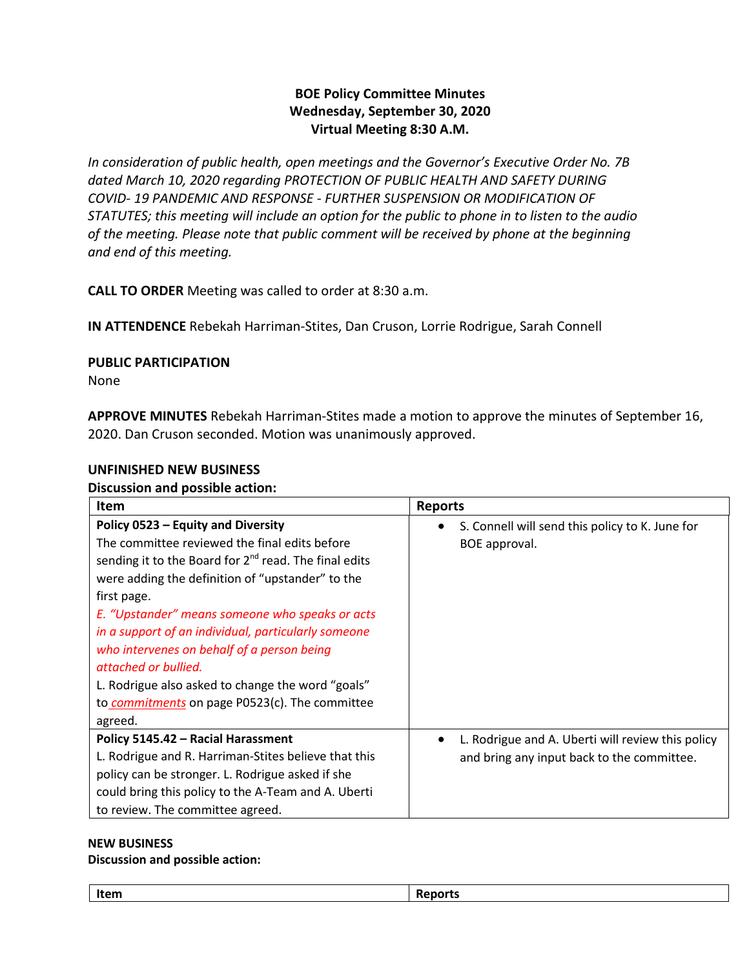# **BOE Policy Committee Minutes Wednesday, September 30, 2020 Virtual Meeting 8:30 A.M.**

*In consideration of public health, open meetings and the Governor's Executive Order No. 7B dated March 10, 2020 regarding PROTECTION OF PUBLIC HEALTH AND SAFETY DURING COVID- 19 PANDEMIC AND RESPONSE - FURTHER SUSPENSION OR MODIFICATION OF STATUTES; this meeting will include an option for the public to phone in to listen to the audio of the meeting. Please note that public comment will be received by phone at the beginning and end of this meeting.*

**CALL TO ORDER** Meeting was called to order at 8:30 a.m.

**IN ATTENDENCE** Rebekah Harriman-Stites, Dan Cruson, Lorrie Rodrigue, Sarah Connell

## **PUBLIC PARTICIPATION**

None

**APPROVE MINUTES** Rebekah Harriman-Stites made a motion to approve the minutes of September 16, 2020. Dan Cruson seconded. Motion was unanimously approved.

## **UNFINISHED NEW BUSINESS**

### **Discussion and possible action:**

| <b>Item</b>                                                                                                                                                                                                                                                                                                                                                                                                                                                                                                            | <b>Reports</b>                                                                                               |
|------------------------------------------------------------------------------------------------------------------------------------------------------------------------------------------------------------------------------------------------------------------------------------------------------------------------------------------------------------------------------------------------------------------------------------------------------------------------------------------------------------------------|--------------------------------------------------------------------------------------------------------------|
| Policy 0523 - Equity and Diversity<br>The committee reviewed the final edits before<br>sending it to the Board for $2^{nd}$ read. The final edits<br>were adding the definition of "upstander" to the<br>first page.<br>E. "Upstander" means someone who speaks or acts<br>in a support of an individual, particularly someone<br>who intervenes on behalf of a person being<br>attached or bullied.<br>L. Rodrigue also asked to change the word "goals"<br>to commitments on page P0523(c). The committee<br>agreed. | S. Connell will send this policy to K. June for<br>BOE approval.                                             |
| Policy 5145.42 - Racial Harassment<br>L. Rodrigue and R. Harriman-Stites believe that this<br>policy can be stronger. L. Rodrigue asked if she<br>could bring this policy to the A-Team and A. Uberti<br>to review. The committee agreed.                                                                                                                                                                                                                                                                              | L. Rodrigue and A. Uberti will review this policy<br>$\bullet$<br>and bring any input back to the committee. |

#### **NEW BUSINESS**

### **Discussion and possible action:**

| ____<br>item |
|--------------|
|--------------|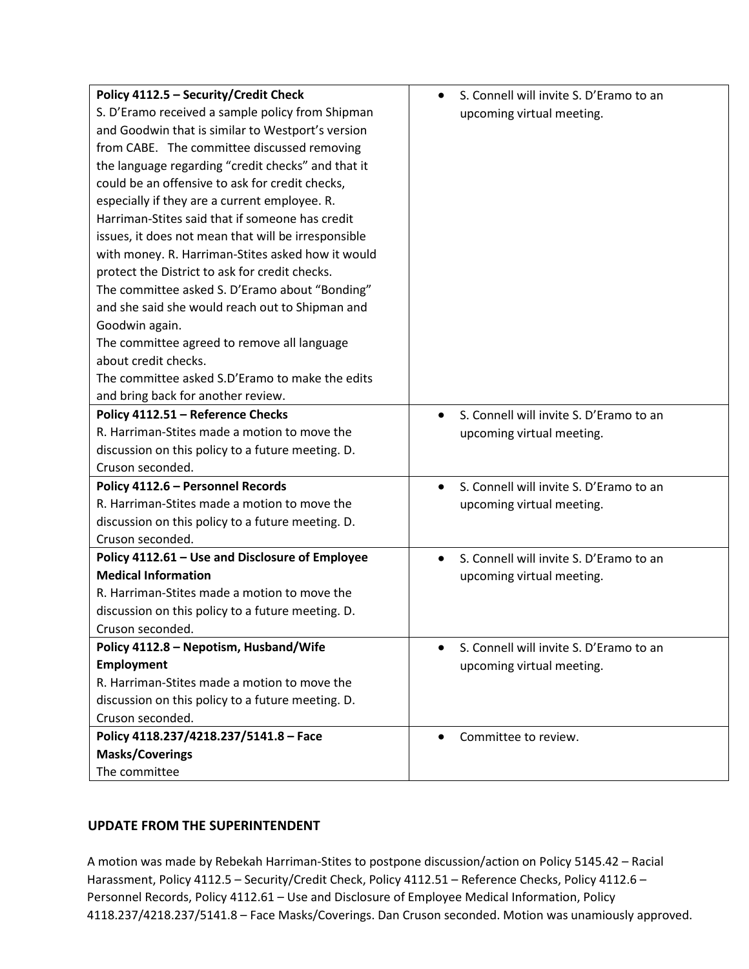| Policy 4112.5 - Security/Credit Check               | S. Connell will invite S. D'Eramo to an              |
|-----------------------------------------------------|------------------------------------------------------|
| S. D'Eramo received a sample policy from Shipman    | upcoming virtual meeting.                            |
| and Goodwin that is similar to Westport's version   |                                                      |
| from CABE. The committee discussed removing         |                                                      |
| the language regarding "credit checks" and that it  |                                                      |
| could be an offensive to ask for credit checks,     |                                                      |
| especially if they are a current employee. R.       |                                                      |
| Harriman-Stites said that if someone has credit     |                                                      |
| issues, it does not mean that will be irresponsible |                                                      |
| with money. R. Harriman-Stites asked how it would   |                                                      |
| protect the District to ask for credit checks.      |                                                      |
| The committee asked S. D'Eramo about "Bonding"      |                                                      |
| and she said she would reach out to Shipman and     |                                                      |
| Goodwin again.                                      |                                                      |
| The committee agreed to remove all language         |                                                      |
| about credit checks.                                |                                                      |
| The committee asked S.D'Eramo to make the edits     |                                                      |
| and bring back for another review.                  |                                                      |
| Policy 4112.51 - Reference Checks                   | S. Connell will invite S. D'Eramo to an              |
| R. Harriman-Stites made a motion to move the        | upcoming virtual meeting.                            |
| discussion on this policy to a future meeting. D.   |                                                      |
| Cruson seconded.                                    |                                                      |
| Policy 4112.6 - Personnel Records                   | S. Connell will invite S. D'Eramo to an<br>$\bullet$ |
| R. Harriman-Stites made a motion to move the        | upcoming virtual meeting.                            |
| discussion on this policy to a future meeting. D.   |                                                      |
| Cruson seconded.                                    |                                                      |
| Policy 4112.61 - Use and Disclosure of Employee     | S. Connell will invite S. D'Eramo to an<br>$\bullet$ |
| <b>Medical Information</b>                          | upcoming virtual meeting.                            |
| R. Harriman-Stites made a motion to move the        |                                                      |
| discussion on this policy to a future meeting. D.   |                                                      |
| Cruson seconded.                                    |                                                      |
| Policy 4112.8 - Nepotism, Husband/Wife              | S. Connell will invite S. D'Eramo to an<br>$\bullet$ |
| <b>Employment</b>                                   | upcoming virtual meeting.                            |
| R. Harriman-Stites made a motion to move the        |                                                      |
| discussion on this policy to a future meeting. D.   |                                                      |
| Cruson seconded.                                    |                                                      |
| Policy 4118.237/4218.237/5141.8 - Face              | Committee to review.                                 |
| <b>Masks/Coverings</b>                              |                                                      |
| The committee                                       |                                                      |

## **UPDATE FROM THE SUPERINTENDENT**

A motion was made by Rebekah Harriman-Stites to postpone discussion/action on Policy 5145.42 – Racial Harassment, Policy 4112.5 – Security/Credit Check, Policy 4112.51 – Reference Checks, Policy 4112.6 – Personnel Records, Policy 4112.61 – Use and Disclosure of Employee Medical Information, Policy 4118.237/4218.237/5141.8 – Face Masks/Coverings. Dan Cruson seconded. Motion was unamiously approved.